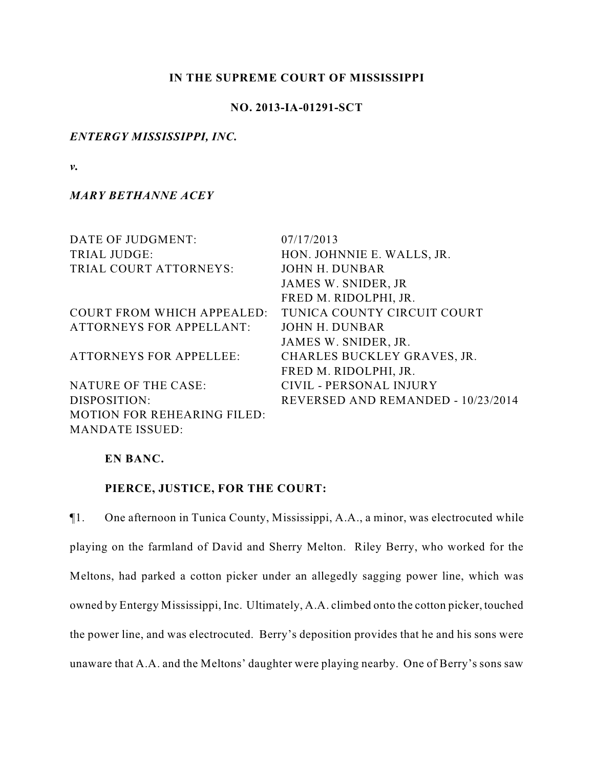### **IN THE SUPREME COURT OF MISSISSIPPI**

### **NO. 2013-IA-01291-SCT**

## *ENTERGY MISSISSIPPI, INC.*

*v.*

## *MARY BETHANNE ACEY*

| DATE OF JUDGMENT:                  | 07/17/2013                         |
|------------------------------------|------------------------------------|
| TRIAL JUDGE:                       | HON. JOHNNIE E. WALLS, JR.         |
| TRIAL COURT ATTORNEYS:             | <b>JOHN H. DUNBAR</b>              |
|                                    | JAMES W. SNIDER, JR                |
|                                    | FRED M. RIDOLPHI, JR.              |
| <b>COURT FROM WHICH APPEALED:</b>  | TUNICA COUNTY CIRCUIT COURT        |
| <b>ATTORNEYS FOR APPELLANT:</b>    | <b>JOHN H. DUNBAR</b>              |
|                                    | JAMES W. SNIDER, JR.               |
| <b>ATTORNEYS FOR APPELLEE:</b>     | CHARLES BUCKLEY GRAVES, JR.        |
|                                    | FRED M. RIDOLPHI, JR.              |
| NATURE OF THE CASE:                | CIVIL - PERSONAL INJURY            |
| DISPOSITION:                       | REVERSED AND REMANDED - 10/23/2014 |
| <b>MOTION FOR REHEARING FILED:</b> |                                    |
| <b>MANDATE ISSUED:</b>             |                                    |

## **EN BANC.**

### **PIERCE, JUSTICE, FOR THE COURT:**

¶1. One afternoon in Tunica County, Mississippi, A.A., a minor, was electrocuted while playing on the farmland of David and Sherry Melton. Riley Berry, who worked for the Meltons, had parked a cotton picker under an allegedly sagging power line, which was owned by Entergy Mississippi, Inc. Ultimately, A.A. climbed onto the cotton picker, touched the power line, and was electrocuted. Berry's deposition provides that he and his sons were unaware that A.A. and the Meltons' daughter were playing nearby. One of Berry's sons saw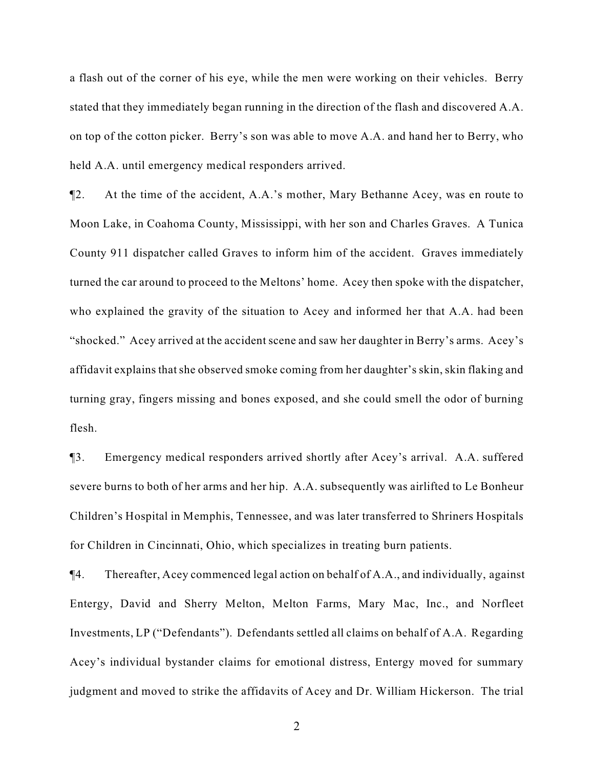a flash out of the corner of his eye, while the men were working on their vehicles. Berry stated that they immediately began running in the direction of the flash and discovered A.A. on top of the cotton picker. Berry's son was able to move A.A. and hand her to Berry, who held A.A. until emergency medical responders arrived.

¶2. At the time of the accident, A.A.'s mother, Mary Bethanne Acey, was en route to Moon Lake, in Coahoma County, Mississippi, with her son and Charles Graves. A Tunica County 911 dispatcher called Graves to inform him of the accident. Graves immediately turned the car around to proceed to the Meltons' home. Acey then spoke with the dispatcher, who explained the gravity of the situation to Acey and informed her that A.A. had been "shocked." Acey arrived at the accident scene and saw her daughter in Berry's arms. Acey's affidavit explains that she observed smoke coming from her daughter's skin, skin flaking and turning gray, fingers missing and bones exposed, and she could smell the odor of burning flesh.

¶3. Emergency medical responders arrived shortly after Acey's arrival. A.A. suffered severe burns to both of her arms and her hip. A.A. subsequently was airlifted to Le Bonheur Children's Hospital in Memphis, Tennessee, and was later transferred to Shriners Hospitals for Children in Cincinnati, Ohio, which specializes in treating burn patients.

¶4. Thereafter, Acey commenced legal action on behalf of A.A., and individually, against Entergy, David and Sherry Melton, Melton Farms, Mary Mac, Inc., and Norfleet Investments, LP ("Defendants"). Defendants settled all claims on behalf of A.A. Regarding Acey's individual bystander claims for emotional distress, Entergy moved for summary judgment and moved to strike the affidavits of Acey and Dr. William Hickerson. The trial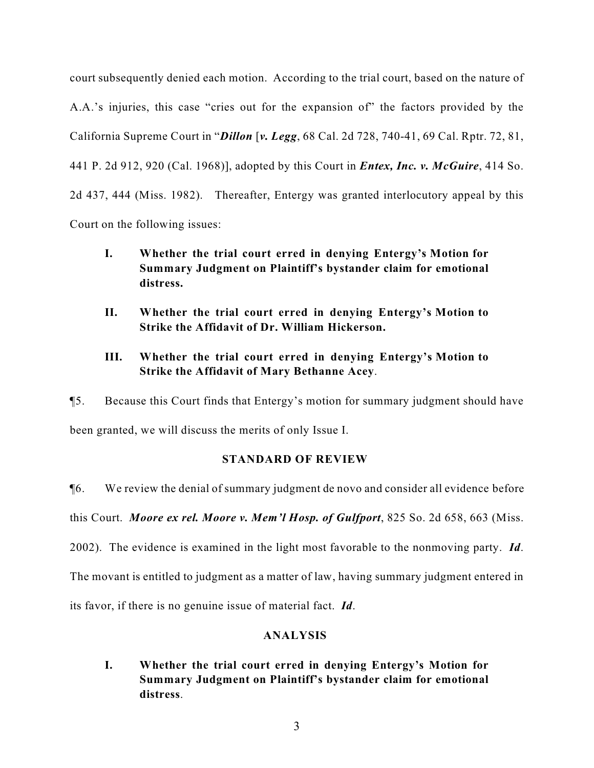court subsequently denied each motion. According to the trial court, based on the nature of A.A.'s injuries, this case "cries out for the expansion of" the factors provided by the California Supreme Court in "*Dillon* [*v. Legg*, 68 Cal. 2d 728, 740-41, 69 Cal. Rptr. 72, 81, 441 P. 2d 912, 920 (Cal. 1968)], adopted by this Court in *Entex, Inc. v. McGuire*, 414 So. 2d 437, 444 (Miss. 1982). Thereafter, Entergy was granted interlocutory appeal by this Court on the following issues:

**I. Whether the trial court erred in denying Entergy's Motion for Summary Judgment on Plaintiff's bystander claim for emotional distress.**

- **II. Whether the trial court erred in denying Entergy's Motion to Strike the Affidavit of Dr. William Hickerson.**
- **III. Whether the trial court erred in denying Entergy's Motion to Strike the Affidavit of Mary Bethanne Acey**.

¶5. Because this Court finds that Entergy's motion for summary judgment should have been granted, we will discuss the merits of only Issue I.

## **STANDARD OF REVIEW**

¶6. We review the denial of summary judgment de novo and consider all evidence before this Court. *Moore ex rel. Moore v. Mem'l Hosp. of Gulfport*, 825 So. 2d 658, 663 (Miss. 2002). The evidence is examined in the light most favorable to the nonmoving party. *Id*. The movant is entitled to judgment as a matter of law, having summary judgment entered in its favor, if there is no genuine issue of material fact. *Id*.

# **ANALYSIS**

**I. Whether the trial court erred in denying Entergy's Motion for Summary Judgment on Plaintiff's bystander claim for emotional distress**.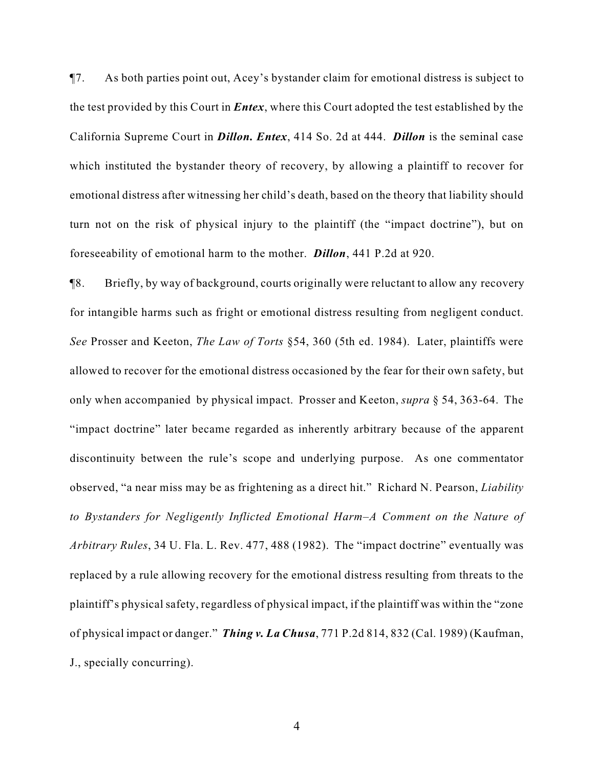¶7. As both parties point out, Acey's bystander claim for emotional distress is subject to the test provided by this Court in *Entex*, where this Court adopted the test established by the California Supreme Court in *Dillon. Entex*, 414 So. 2d at 444. *Dillon* is the seminal case which instituted the bystander theory of recovery, by allowing a plaintiff to recover for emotional distress after witnessing her child's death, based on the theory that liability should turn not on the risk of physical injury to the plaintiff (the "impact doctrine"), but on foreseeability of emotional harm to the mother. *Dillon*, 441 P.2d at 920.

¶8. Briefly, by way of background, courts originally were reluctant to allow any recovery for intangible harms such as fright or emotional distress resulting from negligent conduct. *See* Prosser and Keeton, *The Law of Torts* §54, 360 (5th ed. 1984). Later, plaintiffs were allowed to recover for the emotional distress occasioned by the fear for their own safety, but only when accompanied by physical impact. Prosser and Keeton, *supra* § 54, 363-64. The "impact doctrine" later became regarded as inherently arbitrary because of the apparent discontinuity between the rule's scope and underlying purpose. As one commentator observed, "a near miss may be as frightening as a direct hit." Richard N. Pearson, *Liability to Bystanders for Negligently Inflicted Emotional Harm–A Comment on the Nature of Arbitrary Rules*, 34 U. Fla. L. Rev. 477, 488 (1982). The "impact doctrine" eventually was replaced by a rule allowing recovery for the emotional distress resulting from threats to the plaintiff's physical safety, regardless of physical impact, if the plaintiff was within the "zone of physical impact or danger." *Thing v. La Chusa*, 771 P.2d 814, 832 (Cal. 1989) (Kaufman, J., specially concurring).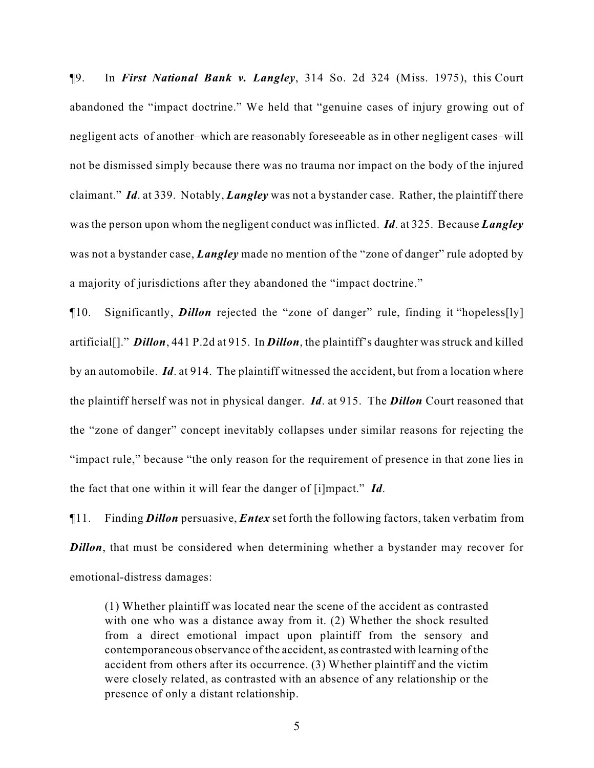¶9. In *First National Bank v. Langley*, 314 So. 2d 324 (Miss. 1975), this Court abandoned the "impact doctrine." We held that "genuine cases of injury growing out of negligent acts of another–which are reasonably foreseeable as in other negligent cases–will not be dismissed simply because there was no trauma nor impact on the body of the injured claimant." *Id*. at 339. Notably, *Langley* was not a bystander case. Rather, the plaintiff there was the person upon whom the negligent conduct was inflicted. *Id*. at 325. Because *Langley* was not a bystander case, *Langley* made no mention of the "zone of danger" rule adopted by a majority of jurisdictions after they abandoned the "impact doctrine."

¶10. Significantly, *Dillon* rejected the "zone of danger" rule, finding it "hopeless[ly] artificial[]." *Dillon*, 441 P.2d at 915. In *Dillon*, the plaintiff's daughter was struck and killed by an automobile. *Id*. at 914. The plaintiff witnessed the accident, but from a location where the plaintiff herself was not in physical danger. *Id*. at 915. The *Dillon* Court reasoned that the "zone of danger" concept inevitably collapses under similar reasons for rejecting the "impact rule," because "the only reason for the requirement of presence in that zone lies in the fact that one within it will fear the danger of [i]mpact." *Id*.

¶11. Finding *Dillon* persuasive, *Entex* set forth the following factors, taken verbatim from *Dillon*, that must be considered when determining whether a bystander may recover for emotional-distress damages:

(1) Whether plaintiff was located near the scene of the accident as contrasted with one who was a distance away from it. (2) Whether the shock resulted from a direct emotional impact upon plaintiff from the sensory and contemporaneous observance of the accident, as contrasted with learning of the accident from others after its occurrence. (3) Whether plaintiff and the victim were closely related, as contrasted with an absence of any relationship or the presence of only a distant relationship.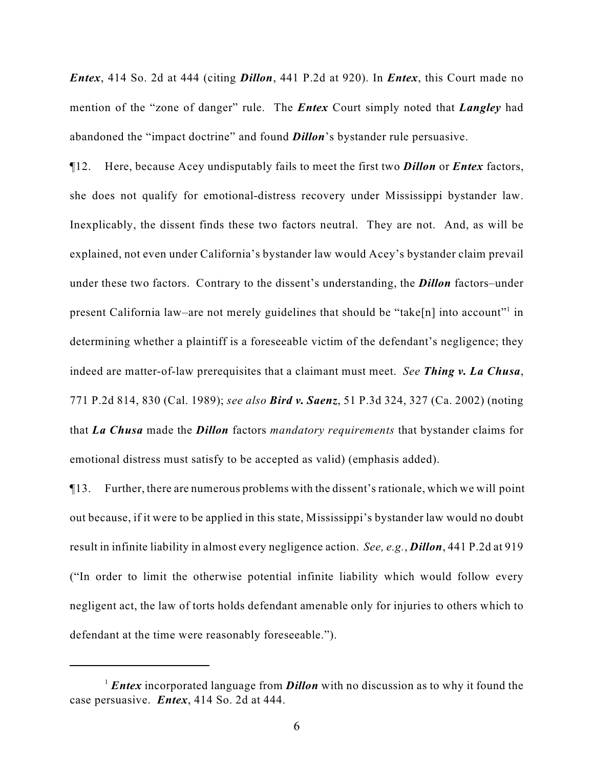*Entex*, 414 So. 2d at 444 (citing *Dillon*, 441 P.2d at 920). In *Entex*, this Court made no mention of the "zone of danger" rule. The *Entex* Court simply noted that *Langley* had abandoned the "impact doctrine" and found *Dillon*'s bystander rule persuasive.

¶12. Here, because Acey undisputably fails to meet the first two *Dillon* or *Entex* factors, she does not qualify for emotional-distress recovery under Mississippi bystander law. Inexplicably, the dissent finds these two factors neutral. They are not. And, as will be explained, not even under California's bystander law would Acey's bystander claim prevail under these two factors. Contrary to the dissent's understanding, the *Dillon* factors–under present California law–are not merely guidelines that should be "take[n] into account" in determining whether a plaintiff is a foreseeable victim of the defendant's negligence; they indeed are matter-of-law prerequisites that a claimant must meet. *See Thing v. La Chusa*, 771 P.2d 814, 830 (Cal. 1989); *see also Bird v. Saenz*, 51 P.3d 324, 327 (Ca. 2002) (noting that *La Chusa* made the *Dillon* factors *mandatory requirements* that bystander claims for emotional distress must satisfy to be accepted as valid) (emphasis added).

¶13. Further, there are numerous problems with the dissent's rationale, which we will point out because, if it were to be applied in this state, Mississippi's bystander law would no doubt result in infinite liability in almost every negligence action. *See, e.g.*, *Dillon*, 441 P.2d at 919 ("In order to limit the otherwise potential infinite liability which would follow every negligent act, the law of torts holds defendant amenable only for injuries to others which to defendant at the time were reasonably foreseeable.").

<sup>&</sup>lt;sup>1</sup> *Entex* incorporated language from *Dillon* with no discussion as to why it found the case persuasive. *Entex*, 414 So. 2d at 444.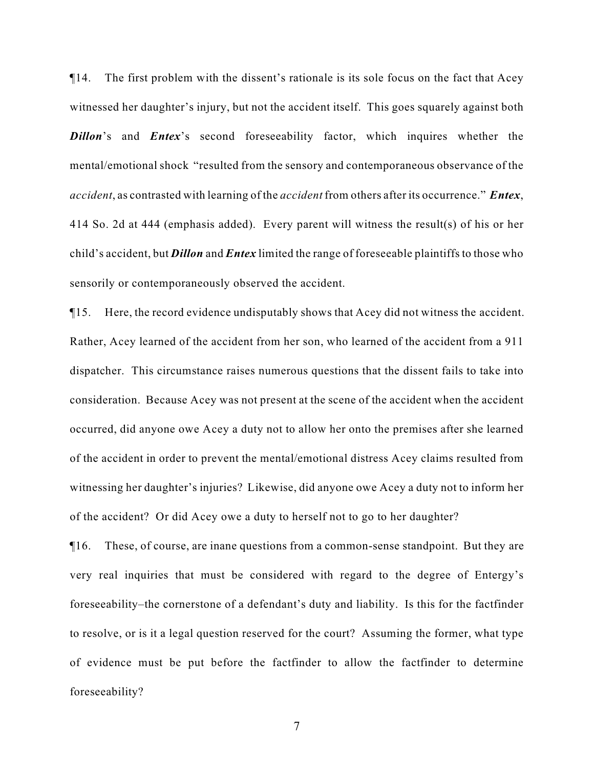¶14. The first problem with the dissent's rationale is its sole focus on the fact that Acey witnessed her daughter's injury, but not the accident itself. This goes squarely against both **Dillon**'s and *Entex*'s second foreseeability factor, which inquires whether the mental/emotional shock "resulted from the sensory and contemporaneous observance of the *accident*, as contrasted with learning of the *accident* from others after its occurrence." *Entex*, 414 So. 2d at 444 (emphasis added). Every parent will witness the result(s) of his or her child's accident, but *Dillon* and *Entex* limited the range of foreseeable plaintiffs to those who sensorily or contemporaneously observed the accident.

¶15. Here, the record evidence undisputably shows that Acey did not witness the accident. Rather, Acey learned of the accident from her son, who learned of the accident from a 911 dispatcher. This circumstance raises numerous questions that the dissent fails to take into consideration. Because Acey was not present at the scene of the accident when the accident occurred, did anyone owe Acey a duty not to allow her onto the premises after she learned of the accident in order to prevent the mental/emotional distress Acey claims resulted from witnessing her daughter's injuries? Likewise, did anyone owe Acey a duty not to inform her of the accident? Or did Acey owe a duty to herself not to go to her daughter?

¶16. These, of course, are inane questions from a common-sense standpoint. But they are very real inquiries that must be considered with regard to the degree of Entergy's foreseeability–the cornerstone of a defendant's duty and liability. Is this for the factfinder to resolve, or is it a legal question reserved for the court? Assuming the former, what type of evidence must be put before the factfinder to allow the factfinder to determine foreseeability?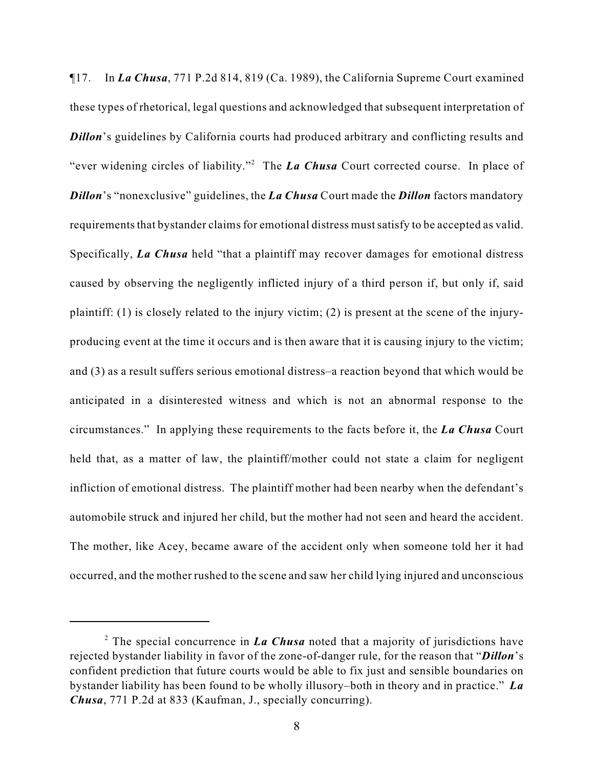¶17. In *La Chusa*, 771 P.2d 814, 819 (Ca. 1989), the California Supreme Court examined these types of rhetorical, legal questions and acknowledged that subsequent interpretation of **Dillon**'s guidelines by California courts had produced arbitrary and conflicting results and "ever widening circles of liability."<sup>2</sup> The *La Chusa* Court corrected course. In place of *Dillon*'s "nonexclusive" guidelines, the *La Chusa* Court made the *Dillon* factors mandatory requirements that bystander claims for emotional distress must satisfy to be accepted as valid. Specifically, *La Chusa* held "that a plaintiff may recover damages for emotional distress caused by observing the negligently inflicted injury of a third person if, but only if, said plaintiff: (1) is closely related to the injury victim; (2) is present at the scene of the injuryproducing event at the time it occurs and is then aware that it is causing injury to the victim; and (3) as a result suffers serious emotional distress–a reaction beyond that which would be anticipated in a disinterested witness and which is not an abnormal response to the circumstances." In applying these requirements to the facts before it, the *La Chusa* Court held that, as a matter of law, the plaintiff/mother could not state a claim for negligent infliction of emotional distress. The plaintiff mother had been nearby when the defendant's automobile struck and injured her child, but the mother had not seen and heard the accident. The mother, like Acey, became aware of the accident only when someone told her it had occurred, and the mother rushed to the scene and saw her child lying injured and unconscious

<sup>&</sup>lt;sup>2</sup> The special concurrence in *La Chusa* noted that a majority of jurisdictions have rejected bystander liability in favor of the zone-of-danger rule, for the reason that "*Dillon*'s confident prediction that future courts would be able to fix just and sensible boundaries on bystander liability has been found to be wholly illusory–both in theory and in practice." *La Chusa*, 771 P.2d at 833 (Kaufman, J., specially concurring).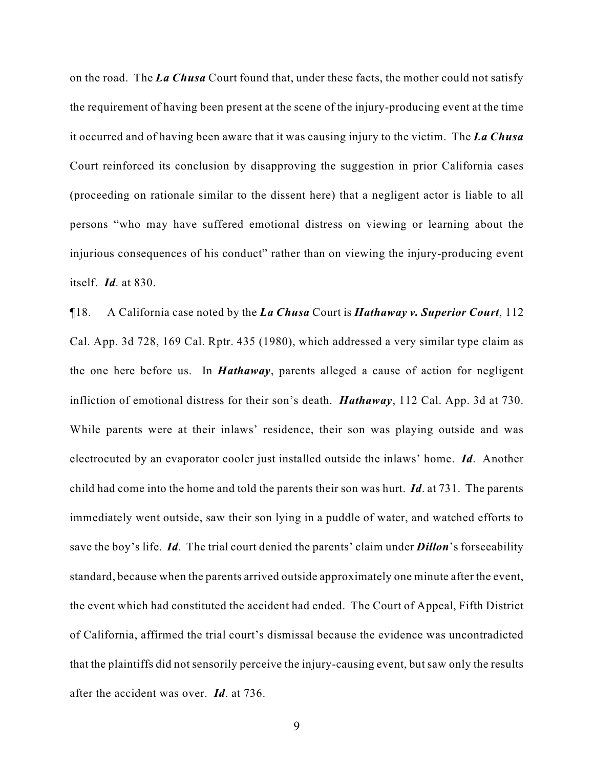on the road. The *La Chusa* Court found that, under these facts, the mother could not satisfy the requirement of having been present at the scene of the injury-producing event at the time it occurred and of having been aware that it was causing injury to the victim. The *La Chusa* Court reinforced its conclusion by disapproving the suggestion in prior California cases (proceeding on rationale similar to the dissent here) that a negligent actor is liable to all persons "who may have suffered emotional distress on viewing or learning about the injurious consequences of his conduct" rather than on viewing the injury-producing event itself. *Id*. at 830.

¶18. A California case noted by the *La Chusa* Court is *Hathaway v. Superior Court*, 112 Cal. App. 3d 728, 169 Cal. Rptr. 435 (1980), which addressed a very similar type claim as the one here before us. In *Hathaway*, parents alleged a cause of action for negligent infliction of emotional distress for their son's death. *Hathaway*, 112 Cal. App. 3d at 730. While parents were at their inlaws' residence, their son was playing outside and was electrocuted by an evaporator cooler just installed outside the inlaws' home. *Id*. Another child had come into the home and told the parents their son was hurt. *Id*. at 731. The parents immediately went outside, saw their son lying in a puddle of water, and watched efforts to save the boy's life. *Id*. The trial court denied the parents' claim under *Dillon*'s forseeability standard, because when the parents arrived outside approximately one minute after the event, the event which had constituted the accident had ended. The Court of Appeal, Fifth District of California, affirmed the trial court's dismissal because the evidence was uncontradicted that the plaintiffs did not sensorily perceive the injury-causing event, but saw only the results after the accident was over. *Id*. at 736.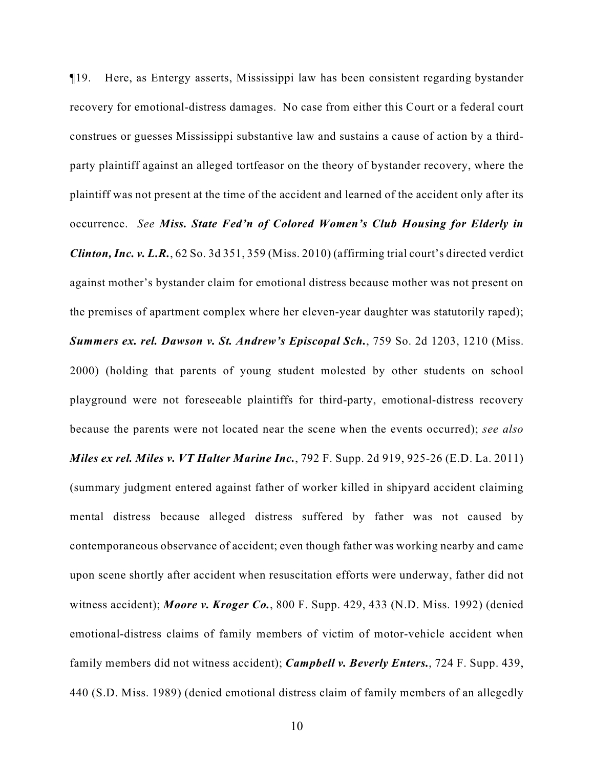¶19. Here, as Entergy asserts, Mississippi law has been consistent regarding bystander recovery for emotional-distress damages. No case from either this Court or a federal court construes or guesses Mississippi substantive law and sustains a cause of action by a thirdparty plaintiff against an alleged tortfeasor on the theory of bystander recovery, where the plaintiff was not present at the time of the accident and learned of the accident only after its occurrence. *See Miss. State Fed'n of Colored Women's Club Housing for Elderly in Clinton, Inc. v. L.R.*, 62 So. 3d 351, 359 (Miss. 2010) (affirming trial court's directed verdict against mother's bystander claim for emotional distress because mother was not present on the premises of apartment complex where her eleven-year daughter was statutorily raped); *Summers ex. rel. Dawson v. St. Andrew's Episcopal Sch.*, 759 So. 2d 1203, 1210 (Miss. 2000) (holding that parents of young student molested by other students on school playground were not foreseeable plaintiffs for third-party, emotional-distress recovery because the parents were not located near the scene when the events occurred); *see also Miles ex rel. Miles v. VT Halter Marine Inc.*, 792 F. Supp. 2d 919, 925-26 (E.D. La. 2011) (summary judgment entered against father of worker killed in shipyard accident claiming mental distress because alleged distress suffered by father was not caused by contemporaneous observance of accident; even though father was working nearby and came upon scene shortly after accident when resuscitation efforts were underway, father did not witness accident); *Moore v. Kroger Co.*, 800 F. Supp. 429, 433 (N.D. Miss. 1992) (denied emotional-distress claims of family members of victim of motor-vehicle accident when family members did not witness accident); *Campbell v. Beverly Enters.*, 724 F. Supp. 439, 440 (S.D. Miss. 1989) (denied emotional distress claim of family members of an allegedly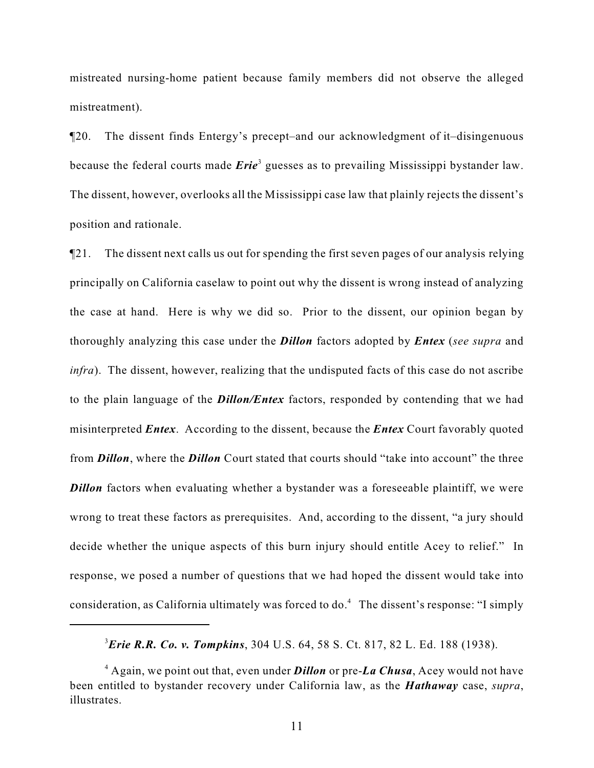mistreated nursing-home patient because family members did not observe the alleged mistreatment).

¶20. The dissent finds Entergy's precept–and our acknowledgment of it–disingenuous because the federal courts made *Erie*<sup>3</sup> guesses as to prevailing Mississippi bystander law. The dissent, however, overlooks all the Mississippi case law that plainly rejects the dissent's position and rationale.

¶21. The dissent next calls us out for spending the first seven pages of our analysis relying principally on California caselaw to point out why the dissent is wrong instead of analyzing the case at hand. Here is why we did so. Prior to the dissent, our opinion began by thoroughly analyzing this case under the *Dillon* factors adopted by *Entex* (*see supra* and *infra*). The dissent, however, realizing that the undisputed facts of this case do not ascribe to the plain language of the *Dillon/Entex* factors, responded by contending that we had misinterpreted *Entex*. According to the dissent, because the *Entex* Court favorably quoted from *Dillon*, where the *Dillon* Court stated that courts should "take into account" the three *Dillon* factors when evaluating whether a bystander was a foreseeable plaintiff, we were wrong to treat these factors as prerequisites. And, according to the dissent, "a jury should decide whether the unique aspects of this burn injury should entitle Acey to relief." In response, we posed a number of questions that we had hoped the dissent would take into consideration, as California ultimately was forced to  $do.<sup>4</sup>$  The dissent's response: "I simply

*Erie R.R. Co. v. Tompkins*, 304 U.S. 64, 58 S. Ct. 817, 82 L. Ed. 188 (1938). <sup>3</sup>

<sup>&</sup>lt;sup>4</sup> Again, we point out that, even under **Dillon** or pre-**La Chusa**, Acey would not have been entitled to bystander recovery under California law, as the *Hathaway* case, *supra*, illustrates.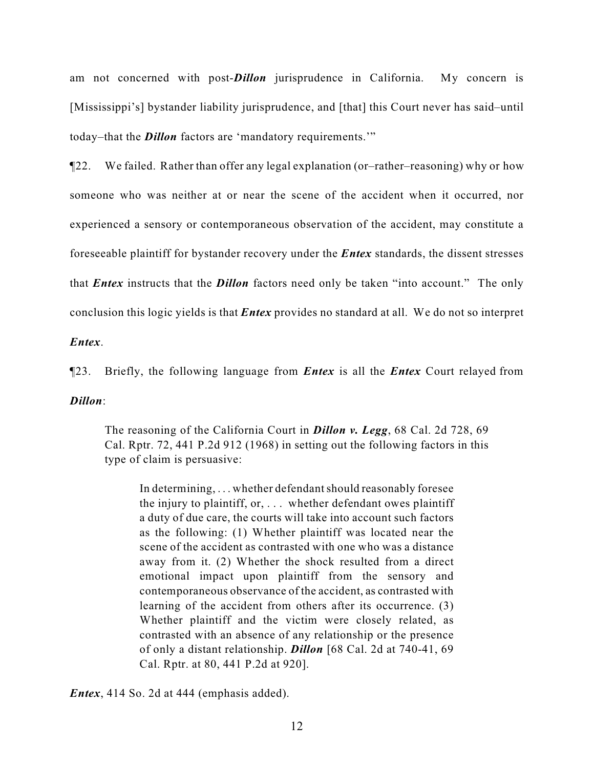am not concerned with post-*Dillon* jurisprudence in California. My concern is [Mississippi's] bystander liability jurisprudence, and [that] this Court never has said–until today–that the *Dillon* factors are 'mandatory requirements.'"

¶22. We failed. Rather than offer any legal explanation (or–rather–reasoning) why or how someone who was neither at or near the scene of the accident when it occurred, nor experienced a sensory or contemporaneous observation of the accident, may constitute a foreseeable plaintiff for bystander recovery under the *Entex* standards, the dissent stresses that *Entex* instructs that the *Dillon* factors need only be taken "into account." The only conclusion this logic yields is that *Entex* provides no standard at all. We do not so interpret

*Entex*.

¶23. Briefly, the following language from *Entex* is all the *Entex* Court relayed from

*Dillon*:

The reasoning of the California Court in *Dillon v. Legg*, 68 Cal. 2d 728, 69 Cal. Rptr. 72, 441 P.2d 912 (1968) in setting out the following factors in this type of claim is persuasive:

In determining, . . . whether defendant should reasonably foresee the injury to plaintiff, or, . . . whether defendant owes plaintiff a duty of due care, the courts will take into account such factors as the following: (1) Whether plaintiff was located near the scene of the accident as contrasted with one who was a distance away from it. (2) Whether the shock resulted from a direct emotional impact upon plaintiff from the sensory and contemporaneous observance of the accident, as contrasted with learning of the accident from others after its occurrence. (3) Whether plaintiff and the victim were closely related, as contrasted with an absence of any relationship or the presence of only a distant relationship. *Dillon* [68 Cal. 2d at 740-41, 69 Cal. Rptr. at 80, 441 P.2d at 920].

*Entex*, 414 So. 2d at 444 (emphasis added).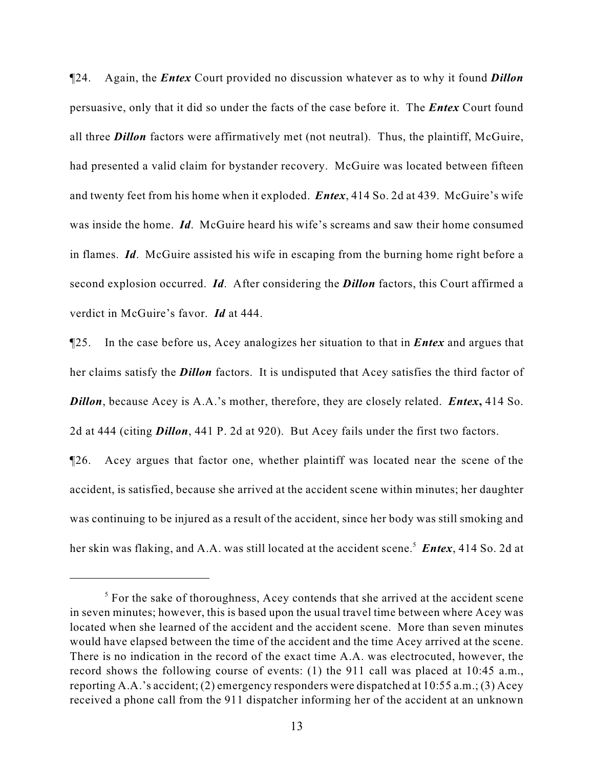¶24. Again, the *Entex* Court provided no discussion whatever as to why it found *Dillon* persuasive, only that it did so under the facts of the case before it. The *Entex* Court found all three *Dillon* factors were affirmatively met (not neutral). Thus, the plaintiff, McGuire, had presented a valid claim for bystander recovery. McGuire was located between fifteen and twenty feet from his home when it exploded. *Entex*, 414 So. 2d at 439. McGuire's wife was inside the home. *Id*. McGuire heard his wife's screams and saw their home consumed in flames. *Id*. McGuire assisted his wife in escaping from the burning home right before a second explosion occurred. *Id*. After considering the *Dillon* factors, this Court affirmed a verdict in McGuire's favor. *Id* at 444.

¶25. In the case before us, Acey analogizes her situation to that in *Entex* and argues that her claims satisfy the *Dillon* factors. It is undisputed that Acey satisfies the third factor of *Dillon*, because Acey is A.A.'s mother, therefore, they are closely related. *Entex***,** 414 So. 2d at 444 (citing *Dillon*, 441 P. 2d at 920). But Acey fails under the first two factors.

¶26. Acey argues that factor one, whether plaintiff was located near the scene of the accident, is satisfied, because she arrived at the accident scene within minutes; her daughter was continuing to be injured as a result of the accident, since her body was still smoking and her skin was flaking, and A.A. was still located at the accident scene.<sup>5</sup> Entex, 414 So. 2d at

 $5$  For the sake of thoroughness, Acey contends that she arrived at the accident scene in seven minutes; however, this is based upon the usual travel time between where Acey was located when she learned of the accident and the accident scene. More than seven minutes would have elapsed between the time of the accident and the time Acey arrived at the scene. There is no indication in the record of the exact time A.A. was electrocuted, however, the record shows the following course of events: (1) the 911 call was placed at 10:45 a.m., reporting A.A.'s accident; (2) emergency responders were dispatched at  $10:55$  a.m.; (3) Acey received a phone call from the 911 dispatcher informing her of the accident at an unknown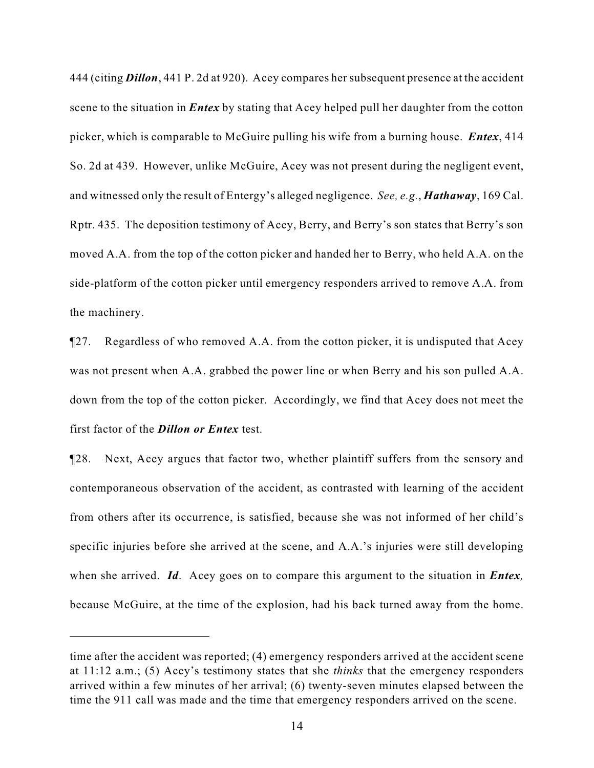444 (citing *Dillon*, 441 P. 2d at 920). Acey compares her subsequent presence at the accident scene to the situation in *Entex* by stating that Acey helped pull her daughter from the cotton picker, which is comparable to McGuire pulling his wife from a burning house. *Entex*, 414 So. 2d at 439. However, unlike McGuire, Acey was not present during the negligent event, and witnessed only the result of Entergy's alleged negligence. *See, e.g.*, *Hathaway*, 169 Cal. Rptr. 435. The deposition testimony of Acey, Berry, and Berry's son states that Berry's son moved A.A. from the top of the cotton picker and handed her to Berry, who held A.A. on the side-platform of the cotton picker until emergency responders arrived to remove A.A. from the machinery.

¶27. Regardless of who removed A.A. from the cotton picker, it is undisputed that Acey was not present when A.A. grabbed the power line or when Berry and his son pulled A.A. down from the top of the cotton picker. Accordingly, we find that Acey does not meet the first factor of the *Dillon or Entex* test.

¶28. Next, Acey argues that factor two, whether plaintiff suffers from the sensory and contemporaneous observation of the accident, as contrasted with learning of the accident from others after its occurrence, is satisfied, because she was not informed of her child's specific injuries before she arrived at the scene, and A.A.'s injuries were still developing when she arrived. *Id*. Acey goes on to compare this argument to the situation in *Entex,* because McGuire, at the time of the explosion, had his back turned away from the home.

time after the accident was reported; (4) emergency responders arrived at the accident scene at 11:12 a.m.; (5) Acey's testimony states that she *thinks* that the emergency responders arrived within a few minutes of her arrival; (6) twenty-seven minutes elapsed between the time the 911 call was made and the time that emergency responders arrived on the scene.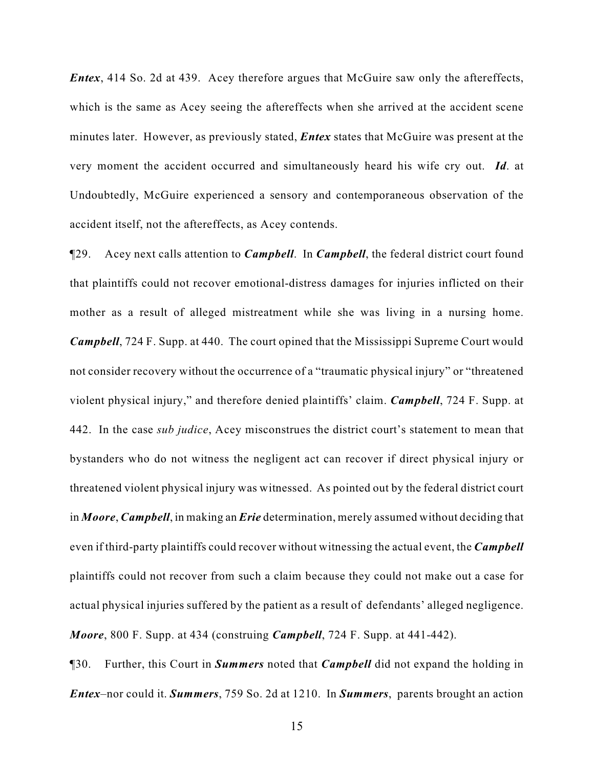*Entex*, 414 So. 2d at 439. Acey therefore argues that McGuire saw only the aftereffects, which is the same as Acey seeing the aftereffects when she arrived at the accident scene minutes later. However, as previously stated, *Entex* states that McGuire was present at the very moment the accident occurred and simultaneously heard his wife cry out. *Id*. at Undoubtedly, McGuire experienced a sensory and contemporaneous observation of the accident itself, not the aftereffects, as Acey contends.

¶29. Acey next calls attention to *Campbell*. In *Campbell*, the federal district court found that plaintiffs could not recover emotional-distress damages for injuries inflicted on their mother as a result of alleged mistreatment while she was living in a nursing home. *Campbell*, 724 F. Supp. at 440. The court opined that the Mississippi Supreme Court would not consider recovery without the occurrence of a "traumatic physical injury" or "threatened violent physical injury," and therefore denied plaintiffs' claim. *Campbell*, 724 F. Supp. at 442. In the case *sub judice*, Acey misconstrues the district court's statement to mean that bystanders who do not witness the negligent act can recover if direct physical injury or threatened violent physical injury was witnessed. As pointed out by the federal district court in *Moore*, *Campbell*, in making an *Erie* determination, merely assumed without deciding that even if third-party plaintiffs could recover without witnessing the actual event, the *Campbell* plaintiffs could not recover from such a claim because they could not make out a case for actual physical injuries suffered by the patient as a result of defendants' alleged negligence. *Moore*, 800 F. Supp. at 434 (construing *Campbell*, 724 F. Supp. at 441-442).

¶30. Further, this Court in *Summers* noted that *Campbell* did not expand the holding in *Entex*–nor could it. *Summers*, 759 So. 2d at 1210. In *Summers*, parents brought an action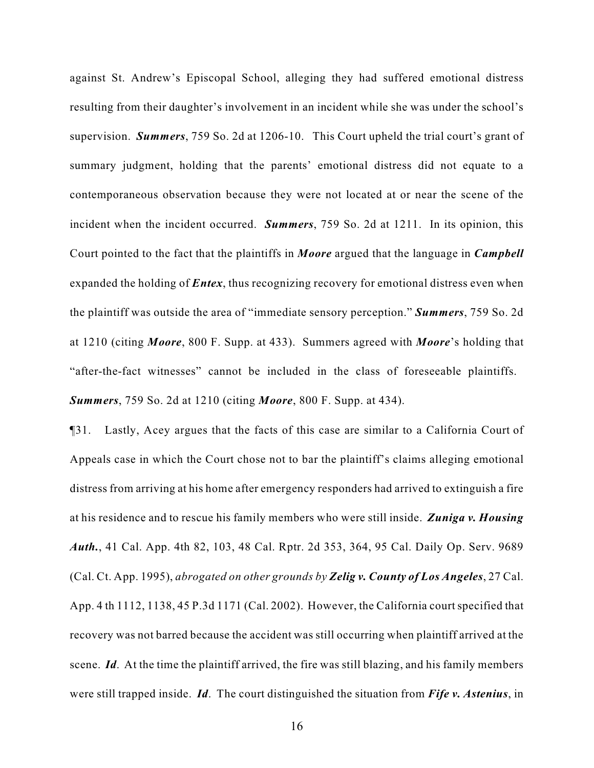against St. Andrew's Episcopal School, alleging they had suffered emotional distress resulting from their daughter's involvement in an incident while she was under the school's supervision. *Summers*, 759 So. 2d at 1206-10. This Court upheld the trial court's grant of summary judgment, holding that the parents' emotional distress did not equate to a contemporaneous observation because they were not located at or near the scene of the incident when the incident occurred. *Summers*, 759 So. 2d at 1211. In its opinion, this Court pointed to the fact that the plaintiffs in *Moore* argued that the language in *Campbell* expanded the holding of *Entex*, thus recognizing recovery for emotional distress even when the plaintiff was outside the area of "immediate sensory perception." *Summers*, 759 So. 2d at 1210 (citing *Moore*, 800 F. Supp. at 433). Summers agreed with *Moore*'s holding that "after-the-fact witnesses" cannot be included in the class of foreseeable plaintiffs. *Summers*, 759 So. 2d at 1210 (citing *Moore*, 800 F. Supp. at 434).

¶31. Lastly, Acey argues that the facts of this case are similar to a California Court of Appeals case in which the Court chose not to bar the plaintiff's claims alleging emotional distress from arriving at his home after emergency responders had arrived to extinguish a fire at his residence and to rescue his family members who were still inside. *Zuniga v. Housing Auth.*, 41 Cal. App. 4th 82, 103, 48 Cal. Rptr. 2d 353, 364, 95 Cal. Daily Op. Serv. 9689 (Cal. Ct. App. 1995), *abrogated on other grounds by Zelig v. County of Los Angeles*, 27 Cal. App. 4 th 1112, 1138, 45 P.3d 1171 (Cal. 2002). However, the California court specified that recovery was not barred because the accident was still occurring when plaintiff arrived at the scene. *Id*. At the time the plaintiff arrived, the fire was still blazing, and his family members were still trapped inside. *Id*. The court distinguished the situation from *Fife v. Astenius*, in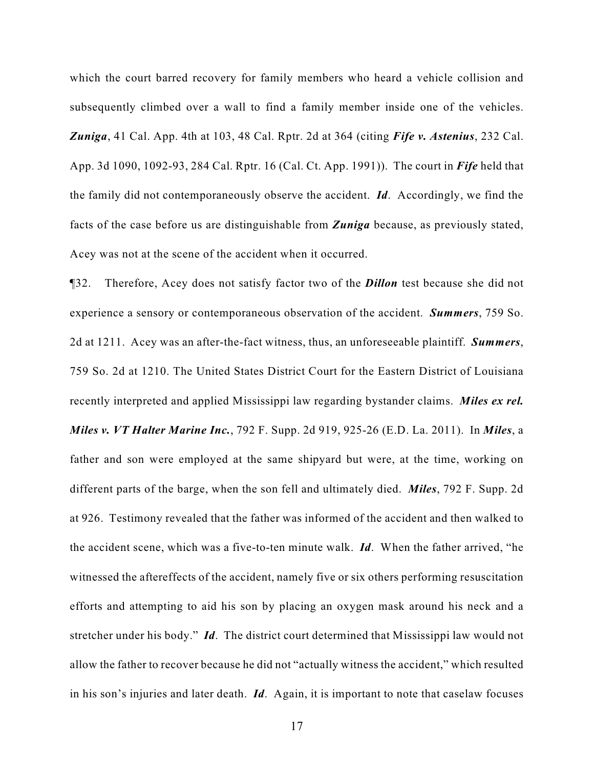which the court barred recovery for family members who heard a vehicle collision and subsequently climbed over a wall to find a family member inside one of the vehicles. *Zuniga*, 41 Cal. App. 4th at 103, 48 Cal. Rptr. 2d at 364 (citing *Fife v. Astenius*, 232 Cal. App. 3d 1090, 1092-93, 284 Cal. Rptr. 16 (Cal. Ct. App. 1991)). The court in *Fife* held that the family did not contemporaneously observe the accident. *Id*. Accordingly, we find the facts of the case before us are distinguishable from *Zuniga* because, as previously stated, Acey was not at the scene of the accident when it occurred.

¶32. Therefore, Acey does not satisfy factor two of the *Dillon* test because she did not experience a sensory or contemporaneous observation of the accident. *Summers*, 759 So. 2d at 1211. Acey was an after-the-fact witness, thus, an unforeseeable plaintiff. *Summers*, 759 So. 2d at 1210. The United States District Court for the Eastern District of Louisiana recently interpreted and applied Mississippi law regarding bystander claims. *Miles ex rel. Miles v. VT Halter Marine Inc.*, 792 F. Supp. 2d 919, 925-26 (E.D. La. 2011). In *Miles*, a father and son were employed at the same shipyard but were, at the time, working on different parts of the barge, when the son fell and ultimately died. *Miles*, 792 F. Supp. 2d at 926. Testimony revealed that the father was informed of the accident and then walked to the accident scene, which was a five-to-ten minute walk. *Id*. When the father arrived, "he witnessed the aftereffects of the accident, namely five or six others performing resuscitation efforts and attempting to aid his son by placing an oxygen mask around his neck and a stretcher under his body." *Id*. The district court determined that Mississippi law would not allow the father to recover because he did not "actually witness the accident," which resulted in his son's injuries and later death. *Id*. Again, it is important to note that caselaw focuses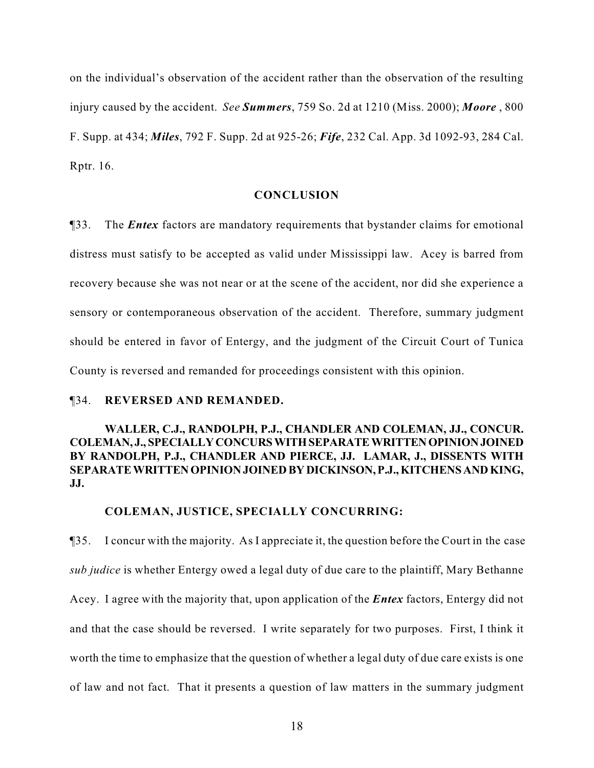on the individual's observation of the accident rather than the observation of the resulting injury caused by the accident. *See Summers*, 759 So. 2d at 1210 (Miss. 2000); *Moore* , 800 F. Supp. at 434; *Miles*, 792 F. Supp. 2d at 925-26; *Fife*, 232 Cal. App. 3d 1092-93, 284 Cal. Rptr. 16.

#### **CONCLUSION**

¶33. The *Entex* factors are mandatory requirements that bystander claims for emotional distress must satisfy to be accepted as valid under Mississippi law. Acey is barred from recovery because she was not near or at the scene of the accident, nor did she experience a sensory or contemporaneous observation of the accident. Therefore, summary judgment should be entered in favor of Entergy, and the judgment of the Circuit Court of Tunica County is reversed and remanded for proceedings consistent with this opinion.

### ¶34. **REVERSED AND REMANDED.**

## **WALLER, C.J., RANDOLPH, P.J., CHANDLER AND COLEMAN, JJ., CONCUR. COLEMAN, J., SPECIALLY CONCURS WITH SEPARATE WRITTEN OPINION JOINED BY RANDOLPH, P.J., CHANDLER AND PIERCE, JJ. LAMAR, J., DISSENTS WITH SEPARATE WRITTEN OPINION JOINED BY DICKINSON, P.J., KITCHENS AND KING, JJ.**

# **COLEMAN, JUSTICE, SPECIALLY CONCURRING:**

¶35. I concur with the majority. As I appreciate it, the question before the Court in the case *sub judice* is whether Entergy owed a legal duty of due care to the plaintiff, Mary Bethanne Acey. I agree with the majority that, upon application of the *Entex* factors, Entergy did not and that the case should be reversed. I write separately for two purposes. First, I think it worth the time to emphasize that the question of whether a legal duty of due care exists is one of law and not fact. That it presents a question of law matters in the summary judgment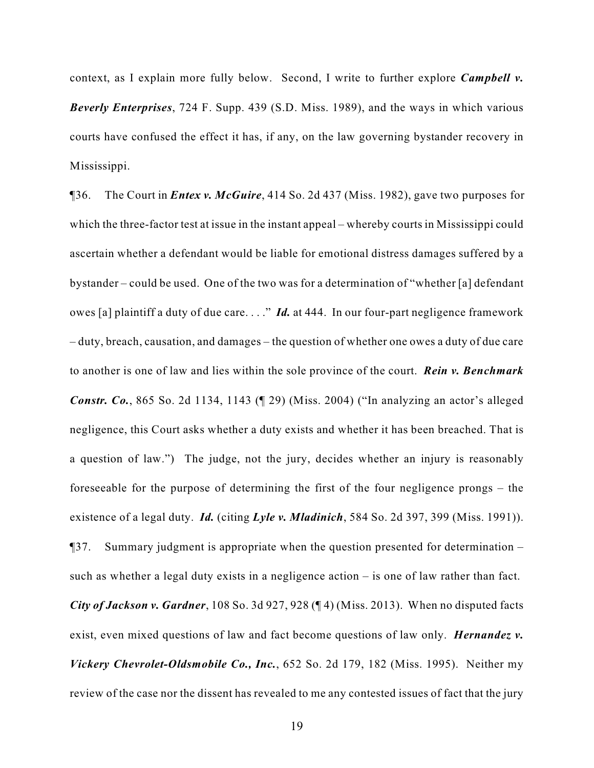context, as I explain more fully below. Second, I write to further explore *Campbell v. Beverly Enterprises*, 724 F. Supp. 439 (S.D. Miss. 1989), and the ways in which various courts have confused the effect it has, if any, on the law governing bystander recovery in Mississippi.

¶36. The Court in *Entex v. McGuire*, 414 So. 2d 437 (Miss. 1982), gave two purposes for which the three-factor test at issue in the instant appeal – whereby courts in Mississippi could ascertain whether a defendant would be liable for emotional distress damages suffered by a bystander – could be used. One of the two was for a determination of "whether [a] defendant owes [a] plaintiff a duty of due care. . . ." *Id.* at 444. In our four-part negligence framework – duty, breach, causation, and damages – the question of whether one owes a duty of due care to another is one of law and lies within the sole province of the court. *Rein v. Benchmark Constr. Co.*, 865 So. 2d 1134, 1143 (¶ 29) (Miss. 2004) ("In analyzing an actor's alleged negligence, this Court asks whether a duty exists and whether it has been breached. That is a question of law.") The judge, not the jury, decides whether an injury is reasonably foreseeable for the purpose of determining the first of the four negligence prongs – the existence of a legal duty. *Id.* (citing *Lyle v. Mladinich*, 584 So. 2d 397, 399 (Miss. 1991)). ¶37. Summary judgment is appropriate when the question presented for determination – such as whether a legal duty exists in a negligence action – is one of law rather than fact. *City of Jackson v. Gardner*, 108 So. 3d 927, 928 (¶ 4) (Miss. 2013). When no disputed facts exist, even mixed questions of law and fact become questions of law only. *Hernandez v. Vickery Chevrolet-Oldsmobile Co., Inc.*, 652 So. 2d 179, 182 (Miss. 1995). Neither my review of the case nor the dissent has revealed to me any contested issues of fact that the jury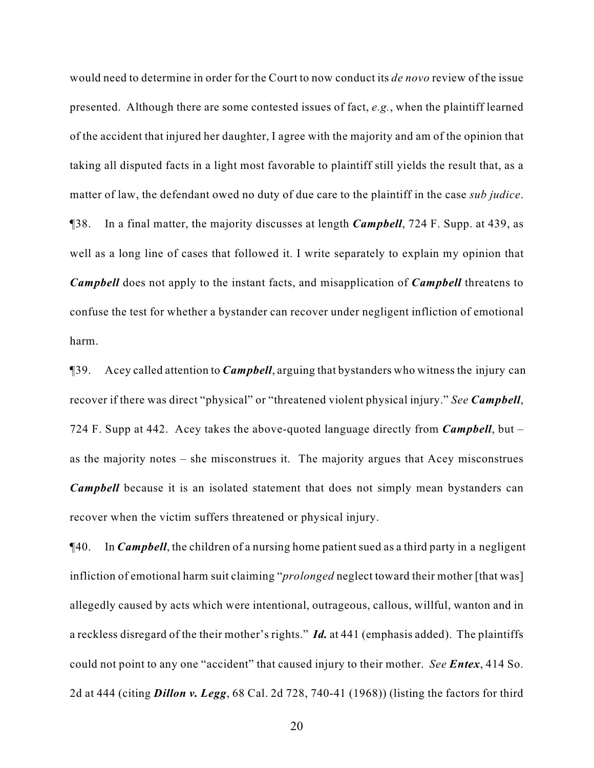would need to determine in order for the Court to now conduct its *de novo* review of the issue presented. Although there are some contested issues of fact, *e.g.*, when the plaintiff learned of the accident that injured her daughter, I agree with the majority and am of the opinion that taking all disputed facts in a light most favorable to plaintiff still yields the result that, as a matter of law, the defendant owed no duty of due care to the plaintiff in the case *sub judice*. ¶38. In a final matter, the majority discusses at length *Campbell*, 724 F. Supp. at 439, as well as a long line of cases that followed it. I write separately to explain my opinion that *Campbell* does not apply to the instant facts, and misapplication of *Campbell* threatens to confuse the test for whether a bystander can recover under negligent infliction of emotional harm.

¶39. Acey called attention to *Campbell*, arguing that bystanders who witness the injury can recover if there was direct "physical" or "threatened violent physical injury." *See Campbell*, 724 F. Supp at 442. Acey takes the above-quoted language directly from *Campbell*, but – as the majority notes – she misconstrues it. The majority argues that Acey misconstrues *Campbell* because it is an isolated statement that does not simply mean bystanders can recover when the victim suffers threatened or physical injury.

¶40. In *Campbell*, the children of a nursing home patient sued as a third party in a negligent infliction of emotional harm suit claiming "*prolonged* neglect toward their mother [that was] allegedly caused by acts which were intentional, outrageous, callous, willful, wanton and in a reckless disregard of the their mother's rights." *Id.* at 441 (emphasis added). The plaintiffs could not point to any one "accident" that caused injury to their mother. *See Entex*, 414 So. 2d at 444 (citing *Dillon v. Legg*, 68 Cal. 2d 728, 740-41 (1968)) (listing the factors for third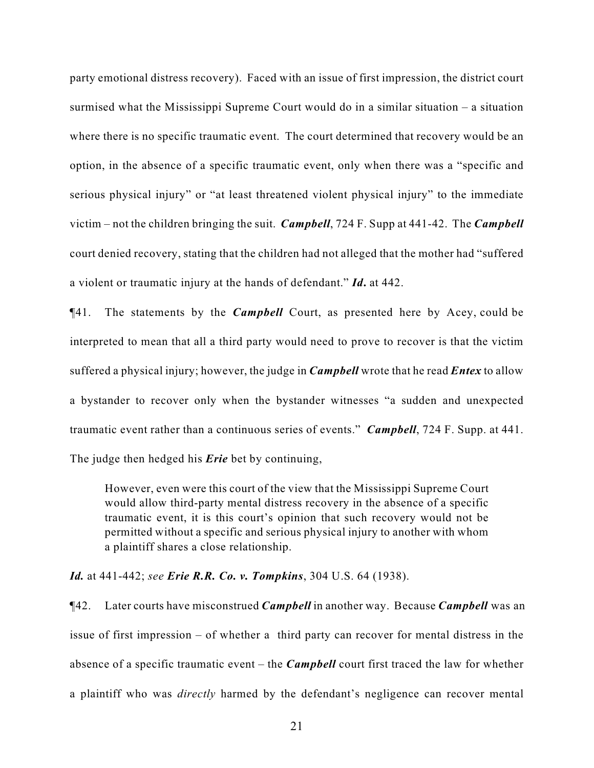party emotional distress recovery). Faced with an issue of first impression, the district court surmised what the Mississippi Supreme Court would do in a similar situation – a situation where there is no specific traumatic event. The court determined that recovery would be an option, in the absence of a specific traumatic event, only when there was a "specific and serious physical injury" or "at least threatened violent physical injury" to the immediate victim – not the children bringing the suit. *Campbell*, 724 F. Supp at 441-42. The *Campbell* court denied recovery, stating that the children had not alleged that the mother had "suffered a violent or traumatic injury at the hands of defendant." *Id***.** at 442.

¶41. The statements by the *Campbell* Court, as presented here by Acey, could be interpreted to mean that all a third party would need to prove to recover is that the victim suffered a physical injury; however, the judge in *Campbell* wrote that he read *Entex* to allow a bystander to recover only when the bystander witnesses "a sudden and unexpected traumatic event rather than a continuous series of events." *Campbell*, 724 F. Supp. at 441. The judge then hedged his *Erie* bet by continuing,

However, even were this court of the view that the Mississippi Supreme Court would allow third-party mental distress recovery in the absence of a specific traumatic event, it is this court's opinion that such recovery would not be permitted without a specific and serious physical injury to another with whom a plaintiff shares a close relationship.

### *Id.* at 441-442; *see Erie R.R. Co. v. Tompkins*, 304 U.S. 64 (1938).

¶42. Later courts have misconstrued *Campbell* in another way. Because *Campbell* was an issue of first impression – of whether a third party can recover for mental distress in the absence of a specific traumatic event – the *Campbell* court first traced the law for whether a plaintiff who was *directly* harmed by the defendant's negligence can recover mental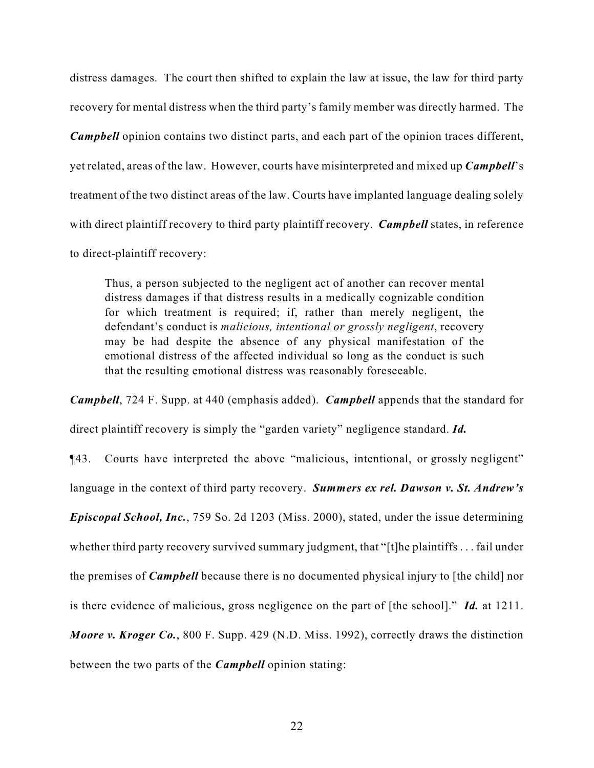distress damages. The court then shifted to explain the law at issue, the law for third party recovery for mental distress when the third party's family member was directly harmed. The *Campbell* opinion contains two distinct parts, and each part of the opinion traces different, yet related, areas of the law. However, courts have misinterpreted and mixed up *Campbell*'s treatment of the two distinct areas of the law. Courts have implanted language dealing solely with direct plaintiff recovery to third party plaintiff recovery. *Campbell* states, in reference to direct-plaintiff recovery:

Thus, a person subjected to the negligent act of another can recover mental distress damages if that distress results in a medically cognizable condition for which treatment is required; if, rather than merely negligent, the defendant's conduct is *malicious, intentional or grossly negligent*, recovery may be had despite the absence of any physical manifestation of the emotional distress of the affected individual so long as the conduct is such that the resulting emotional distress was reasonably foreseeable.

*Campbell*, 724 F. Supp. at 440 (emphasis added). *Campbell* appends that the standard for direct plaintiff recovery is simply the "garden variety" negligence standard. *Id.*

¶43. Courts have interpreted the above "malicious, intentional, or grossly negligent" language in the context of third party recovery. *Summers ex rel. Dawson v. St. Andrew's Episcopal School, Inc.*, 759 So. 2d 1203 (Miss. 2000), stated, under the issue determining whether third party recovery survived summary judgment, that "[t]he plaintiffs . . . fail under the premises of *Campbell* because there is no documented physical injury to [the child] nor is there evidence of malicious, gross negligence on the part of [the school]." *Id.* at 1211. *Moore v. Kroger Co.*, 800 F. Supp. 429 (N.D. Miss. 1992), correctly draws the distinction between the two parts of the *Campbell* opinion stating: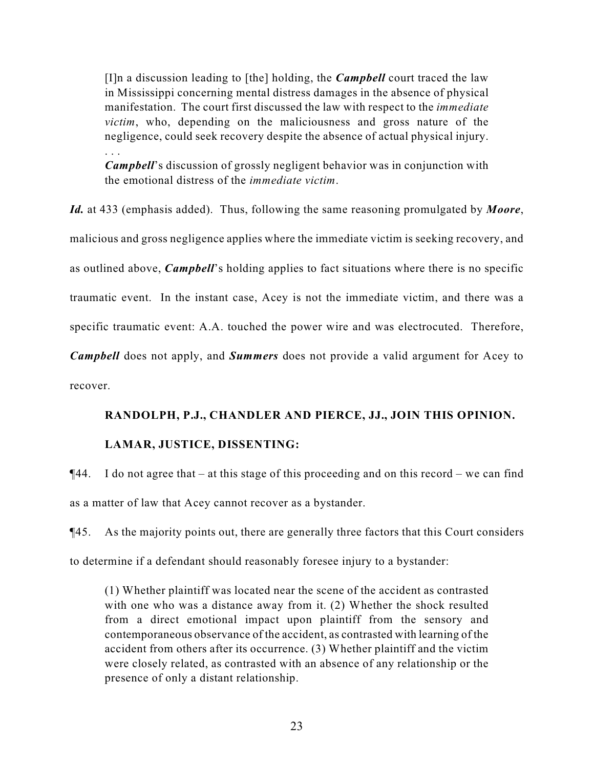[I]n a discussion leading to [the] holding, the *Campbell* court traced the law in Mississippi concerning mental distress damages in the absence of physical manifestation. The court first discussed the law with respect to the *immediate victim*, who, depending on the maliciousness and gross nature of the negligence, could seek recovery despite the absence of actual physical injury. . . .

*Campbell*'s discussion of grossly negligent behavior was in conjunction with the emotional distress of the *immediate victim*.

*Id.* at 433 (emphasis added). Thus, following the same reasoning promulgated by *Moore*, malicious and gross negligence applies where the immediate victim is seeking recovery, and as outlined above, *Campbell*'s holding applies to fact situations where there is no specific traumatic event. In the instant case, Acey is not the immediate victim, and there was a specific traumatic event: A.A. touched the power wire and was electrocuted. Therefore, *Campbell* does not apply, and *Summers* does not provide a valid argument for Acey to recover.

## **RANDOLPH, P.J., CHANDLER AND PIERCE, JJ., JOIN THIS OPINION.**

## **LAMAR, JUSTICE, DISSENTING:**

 $\P$ 44. I do not agree that – at this stage of this proceeding and on this record – we can find as a matter of law that Acey cannot recover as a bystander.

¶45. As the majority points out, there are generally three factors that this Court considers to determine if a defendant should reasonably foresee injury to a bystander:

(1) Whether plaintiff was located near the scene of the accident as contrasted with one who was a distance away from it. (2) Whether the shock resulted from a direct emotional impact upon plaintiff from the sensory and contemporaneous observance of the accident, as contrasted with learning of the accident from others after its occurrence. (3) Whether plaintiff and the victim were closely related, as contrasted with an absence of any relationship or the presence of only a distant relationship.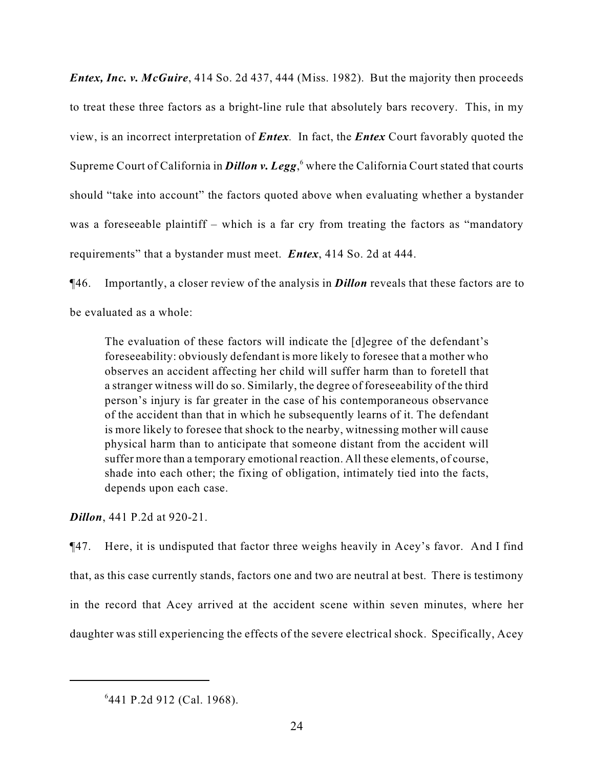*Entex, Inc. v. McGuire*, 414 So. 2d 437, 444 (Miss. 1982). But the majority then proceeds to treat these three factors as a bright-line rule that absolutely bars recovery. This, in my view, is an incorrect interpretation of *Entex.* In fact, the *Entex* Court favorably quoted the Supreme Court of California in **Dillon v. Legg**, where the California Court stated that courts should "take into account" the factors quoted above when evaluating whether a bystander was a foreseeable plaintiff – which is a far cry from treating the factors as "mandatory" requirements" that a bystander must meet. *Entex*, 414 So. 2d at 444.

¶46. Importantly, a closer review of the analysis in *Dillon* reveals that these factors are to be evaluated as a whole:

The evaluation of these factors will indicate the [d]egree of the defendant's foreseeability: obviously defendant is more likely to foresee that a mother who observes an accident affecting her child will suffer harm than to foretell that a stranger witness will do so. Similarly, the degree of foreseeability of the third person's injury is far greater in the case of his contemporaneous observance of the accident than that in which he subsequently learns of it. The defendant is more likely to foresee that shock to the nearby, witnessing mother will cause physical harm than to anticipate that someone distant from the accident will suffer more than a temporary emotional reaction. All these elements, of course, shade into each other; the fixing of obligation, intimately tied into the facts, depends upon each case.

*Dillon*, 441 P.2d at 920-21.

¶47. Here, it is undisputed that factor three weighs heavily in Acey's favor. And I find that, as this case currently stands, factors one and two are neutral at best. There is testimony in the record that Acey arrived at the accident scene within seven minutes, where her daughter was still experiencing the effects of the severe electrical shock. Specifically, Acey

<sup>&</sup>lt;sup>6</sup>441 P.2d 912 (Cal. 1968).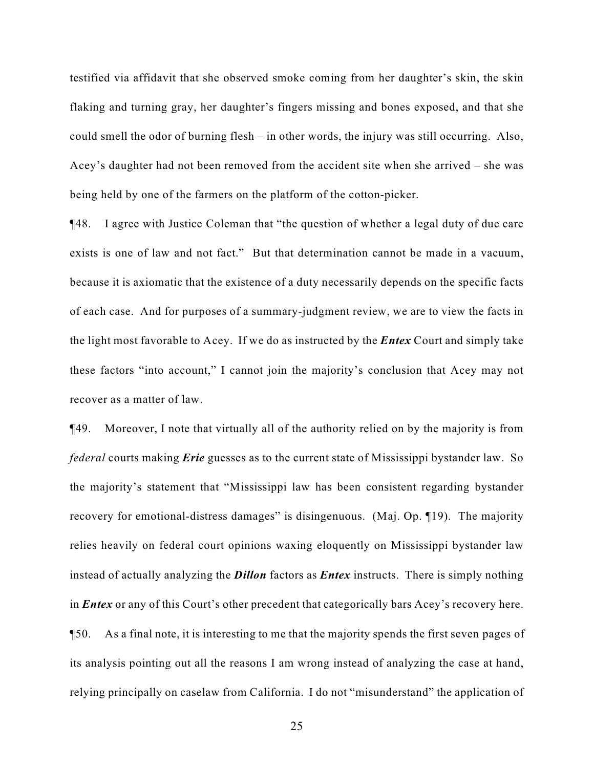testified via affidavit that she observed smoke coming from her daughter's skin, the skin flaking and turning gray, her daughter's fingers missing and bones exposed, and that she could smell the odor of burning flesh – in other words, the injury was still occurring. Also, Acey's daughter had not been removed from the accident site when she arrived – she was being held by one of the farmers on the platform of the cotton-picker.

¶48. I agree with Justice Coleman that "the question of whether a legal duty of due care exists is one of law and not fact." But that determination cannot be made in a vacuum, because it is axiomatic that the existence of a duty necessarily depends on the specific facts of each case. And for purposes of a summary-judgment review, we are to view the facts in the light most favorable to Acey. If we do as instructed by the *Entex* Court and simply take these factors "into account," I cannot join the majority's conclusion that Acey may not recover as a matter of law.

¶49. Moreover, I note that virtually all of the authority relied on by the majority is from *federal* courts making *Erie* guesses as to the current state of Mississippi bystander law. So the majority's statement that "Mississippi law has been consistent regarding bystander recovery for emotional-distress damages" is disingenuous. (Maj. Op. 19). The majority relies heavily on federal court opinions waxing eloquently on Mississippi bystander law instead of actually analyzing the *Dillon* factors as *Entex* instructs. There is simply nothing in *Entex* or any of this Court's other precedent that categorically bars Acey's recovery here. ¶50. As a final note, it is interesting to me that the majority spends the first seven pages of its analysis pointing out all the reasons I am wrong instead of analyzing the case at hand, relying principally on caselaw from California. I do not "misunderstand" the application of